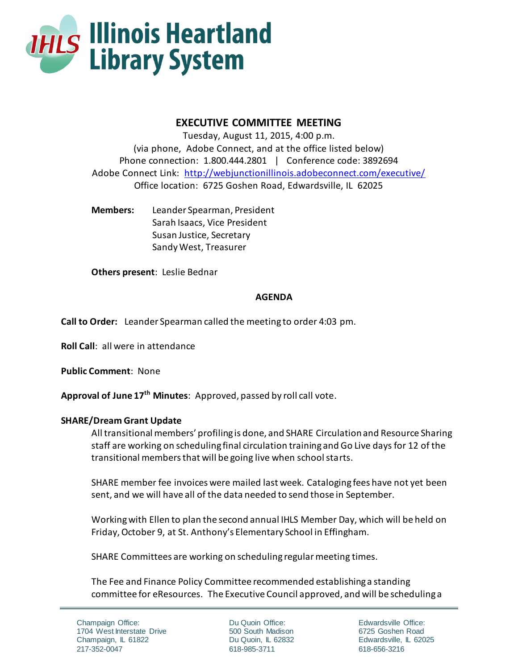

# **EXECUTIVE COMMITTEE MEETING**

Tuesday, August 11, 2015, 4:00 p.m. (via phone, Adobe Connect, and at the office listed below) Phone connection: 1.800.444.2801 | Conference code: 3892694 Adobe Connect Link: <http://webjunctionillinois.adobeconnect.com/executive/> Office location: 6725 Goshen Road, Edwardsville, IL 62025

**Members:** Leander Spearman, President Sarah Isaacs, Vice President Susan Justice, Secretary Sandy West, Treasurer

**Others present**: Leslie Bednar

## **AGENDA**

**Call to Order:** Leander Spearman called the meeting to order 4:03 pm.

**Roll Call**: all were in attendance

**Public Comment**: None

**Approval of June 17th Minutes**: Approved, passed by roll call vote.

# **SHARE/Dream Grant Update**

All transitional members' profiling is done, and SHARE Circulation and Resource Sharing staff are working on scheduling final circulation training and Go Live days for 12 of the transitional members that will be going live when school starts.

SHARE member fee invoices were mailed last week. Cataloging fees have not yet been sent, and we will have all of the data needed to send those in September.

Working with Ellen to plan the second annual IHLS Member Day, which will be held on Friday, October 9, at St. Anthony's Elementary School in Effingham.

SHARE Committees are working on scheduling regular meeting times.

The Fee and Finance Policy Committee recommended establishing a standing committee for eResources. The Executive Council approved, and will be scheduling a

Du Quoin Office: 500 South Madison Du Quoin, IL 62832 618-985-3711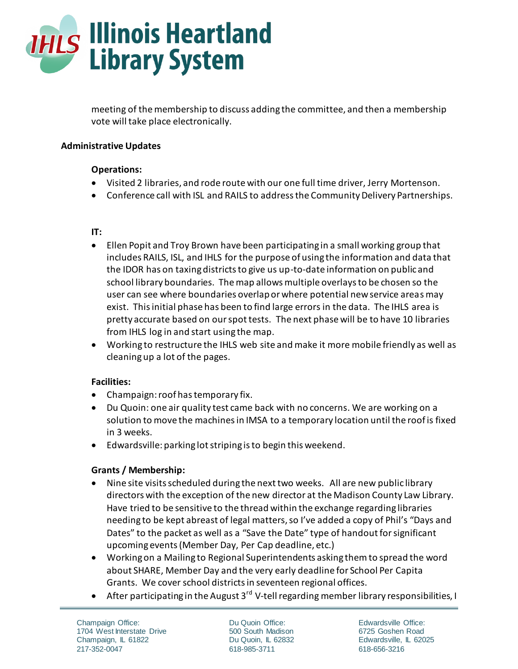

meeting of the membership to discuss adding the committee, and then a membership vote will take place electronically.

# **Administrative Updates**

## **Operations:**

- Visited 2 libraries, and rode route with our one full time driver, Jerry Mortenson.
- Conference call with ISL and RAILS to address the Community Delivery Partnerships.

## **IT:**

- Ellen Popit and Troy Brown have been participating in a small working group that includes RAILS, ISL, and IHLS for the purpose of using the information and data that the IDOR has on taxing districts to give us up-to-date information on public and school library boundaries. The map allows multiple overlays to be chosen so the user can see where boundaries overlap or where potential new service areas may exist. This initial phase has been to find large errors in the data. The IHLS area is pretty accurate based on our spot tests. The next phase will be to have 10 libraries from IHLS log in and start using the map.
- Working to restructure the IHLS web site and make it more mobile friendly as well as cleaning up a lot of the pages.

# **Facilities:**

- Champaign: roof has temporary fix.
- Du Quoin: one air quality test came back with no concerns. We are working on a solution to move the machines in IMSA to a temporary location until the roof is fixed in 3 weeks.
- Edwardsville: parking lot striping is to begin this weekend.

# **Grants / Membership:**

- Nine site visits scheduled during the next two weeks. All are new public library directors with the exception of the new director at the Madison County Law Library. Have tried to be sensitive to the thread within the exchange regarding libraries needing to be kept abreast of legal matters, so I've added a copy of Phil's "Days and Dates" to the packet as well as a "Save the Date" type of handout for significant upcoming events (Member Day, Per Cap deadline, etc.)
- Working on a Mailing to Regional Superintendents asking them to spread the word about SHARE, Member Day and the very early deadline for School Per Capita Grants. We cover school districts in seventeen regional offices.
- $\bullet$  After participating in the August 3<sup>rd</sup> V-tell regarding member library responsibilities, I

Du Quoin Office: 500 South Madison Du Quoin, IL 62832 618-985-3711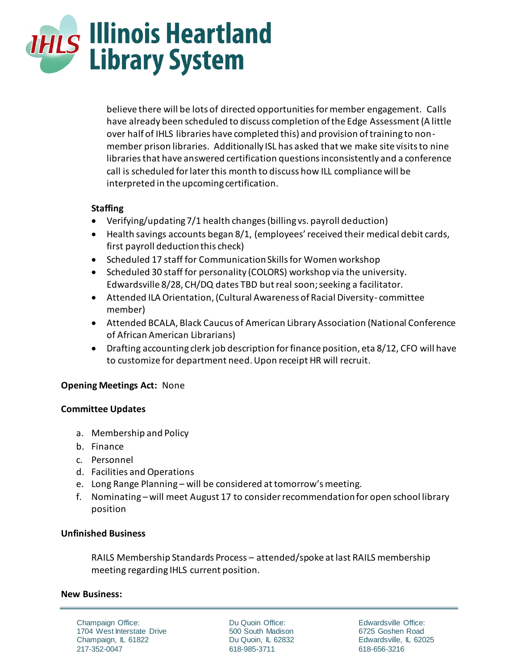

believe there will be lots of directed opportunities for member engagement. Calls have already been scheduled to discuss completion of the Edge Assessment (A little over half of IHLS libraries have completed this) and provision of training to nonmember prison libraries. Additionally ISL has asked that we make site visits to nine libraries that have answered certification questions inconsistently and a conference call is scheduled for later this month to discuss how ILL compliance will be interpreted in the upcoming certification.

## **Staffing**

- Verifying/updating 7/1 health changes (billing vs. payroll deduction)
- Health savings accounts began 8/1, (employees' received their medical debit cards, first payroll deduction this check)
- Scheduled 17 staff for Communication Skills for Women workshop
- Scheduled 30 staff for personality (COLORS) workshop via the university. Edwardsville 8/28, CH/DQ dates TBD but real soon; seeking a facilitator.
- Attended ILA Orientation, (Cultural Awareness of Racial Diversity- committee member)
- Attended BCALA, Black Caucus of American Library Association (National Conference of African American Librarians)
- Drafting accounting clerk job description for finance position, eta 8/12, CFO will have to customize for department need. Upon receipt HR will recruit.

# **Opening Meetings Act:** None

### **Committee Updates**

- a. Membership and Policy
- b. Finance
- c. Personnel
- d. Facilities and Operations
- e. Long Range Planning will be considered at tomorrow's meeting.
- f. Nominating will meet August 17 to consider recommendation for open school library position

### **Unfinished Business**

RAILS Membership Standards Process – attended/spoke at last RAILS membership meeting regarding IHLS current position.

### **New Business:**

Champaign Office: 1704 West Interstate Drive Champaign, IL 61822 217-352-0047

Du Quoin Office: 500 South Madison Du Quoin, IL 62832 618-985-3711